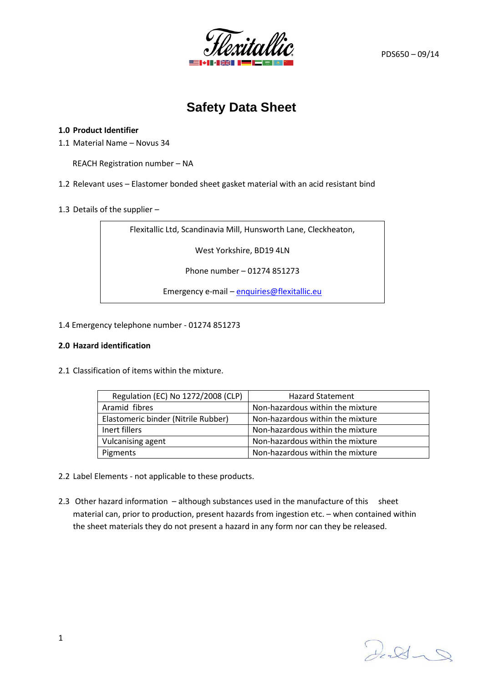

# **Safety Data Sheet**

#### **1.0 Product Identifier**

1.1 Material Name – Novus 34

REACH Registration number – NA

1.2 Relevant uses – Elastomer bonded sheet gasket material with an acid resistant bind

1.3 Details of the supplier –

Flexitallic Ltd, Scandinavia Mill, Hunsworth Lane, Cleckheaton,

West Yorkshire, BD19 4LN

Phone number – 01274 851273

Emergency e-mail – [enquiries@flexitallic.eu](mailto:enquiries@flexitallic.eu)

1.4 Emergency telephone number - 01274 851273

#### **2.0 Hazard identification**

2.1 Classification of items within the mixture.

| Regulation (EC) No 1272/2008 (CLP)  | <b>Hazard Statement</b>          |
|-------------------------------------|----------------------------------|
| Aramid fibres                       | Non-hazardous within the mixture |
| Elastomeric binder (Nitrile Rubber) | Non-hazardous within the mixture |
| Inert fillers                       | Non-hazardous within the mixture |
| Vulcanising agent                   | Non-hazardous within the mixture |
| Pigments                            | Non-hazardous within the mixture |

- 2.2 Label Elements not applicable to these products.
- 2.3 Other hazard information although substances used in the manufacture of this sheet material can, prior to production, present hazards from ingestion etc. – when contained within the sheet materials they do not present a hazard in any form nor can they be released.

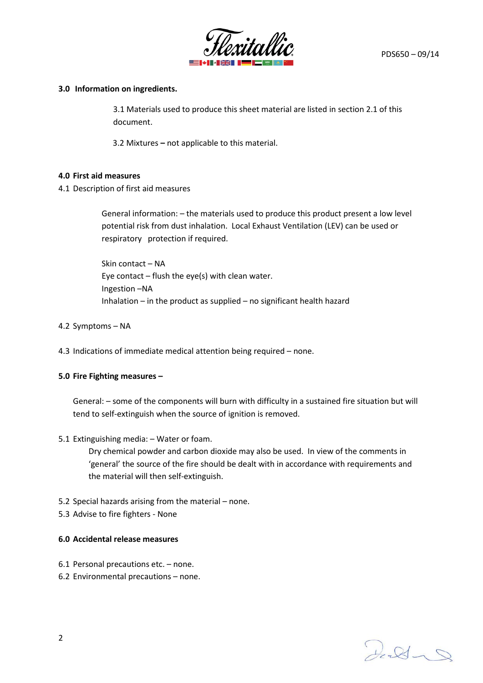

# **3.0 Information on ingredients.**

3.1 Materials used to produce this sheet material are listed in section 2.1 of this document.

3.2 Mixtures **–** not applicable to this material.

# **4.0 First aid measures**

4.1 Description of first aid measures

General information: – the materials used to produce this product present a low level potential risk from dust inhalation. Local Exhaust Ventilation (LEV) can be used or respiratory protection if required.

Skin contact – NA Eye contact  $-$  flush the eye(s) with clean water. Ingestion –NA Inhalation – in the product as supplied – no significant health hazard

- 4.2 Symptoms NA
- 4.3 Indications of immediate medical attention being required none.

#### **5.0 Fire Fighting measures –**

General: – some of the components will burn with difficulty in a sustained fire situation but will tend to self-extinguish when the source of ignition is removed.

5.1 Extinguishing media: – Water or foam.

Dry chemical powder and carbon dioxide may also be used. In view of the comments in 'general' the source of the fire should be dealt with in accordance with requirements and the material will then self-extinguish.

- 5.2 Special hazards arising from the material none.
- 5.3 Advise to fire fighters None

# **6.0 Accidental release measures**

- 6.1 Personal precautions etc. none.
- 6.2 Environmental precautions none.

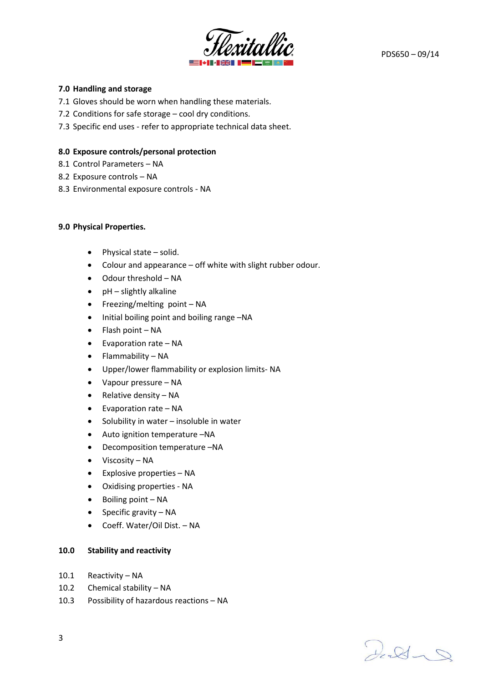

# **7.0 Handling and storage**

- 7.1 Gloves should be worn when handling these materials.
- 7.2 Conditions for safe storage cool dry conditions.
- 7.3 Specific end uses refer to appropriate technical data sheet.

# **8.0 Exposure controls/personal protection**

- 8.1 Control Parameters NA
- 8.2 Exposure controls NA
- 8.3 Environmental exposure controls NA

#### **9.0 Physical Properties.**

- Physical state solid.
- Colour and appearance off white with slight rubber odour.
- Odour threshold NA
- pH slightly alkaline
- Freezing/melting point NA
- Initial boiling point and boiling range –NA
- Flash point NA
- Evaporation rate NA
- Flammability NA
- Upper/lower flammability or explosion limits- NA
- Vapour pressure NA
- Relative density NA
- Evaporation rate NA
- Solubility in water insoluble in water
- Auto ignition temperature –NA
- Decomposition temperature –NA
- Viscosity NA
- Explosive properties NA
- Oxidising properties NA
- Boiling point NA
- Specific gravity NA
- Coeff. Water/Oil Dist. NA

#### **10.0 Stability and reactivity**

- 10.1 Reactivity NA
- 10.2 Chemical stability NA
- 10.3 Possibility of hazardous reactions NA

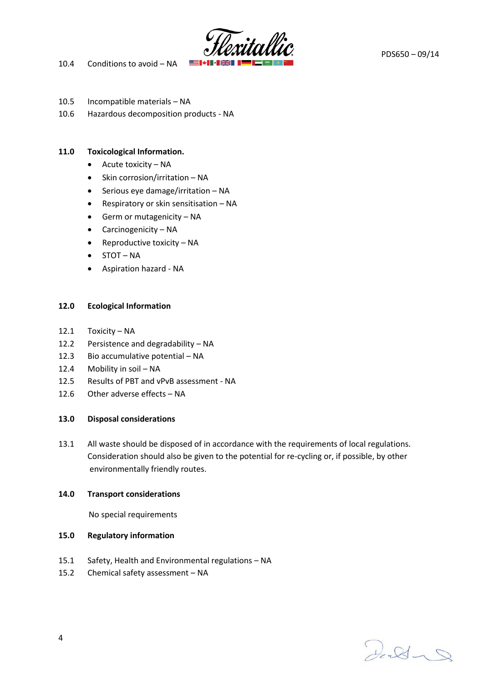





- 
- 10.5 Incompatible materials NA 10.6 Hazardous decomposition products - NA

# **11.0 Toxicological Information.**

- Acute toxicity NA
- Skin corrosion/irritation NA
- Serious eye damage/irritation NA
- Respiratory or skin sensitisation NA
- Germ or mutagenicity NA
- Carcinogenicity NA
- Reproductive toxicity NA
- STOT NA
- Aspiration hazard NA

# **12.0 Ecological Information**

- 12.1 Toxicity NA
- 12.2 Persistence and degradability NA
- 12.3 Bio accumulative potential NA
- 12.4 Mobility in soil NA
- 12.5 Results of PBT and vPvB assessment NA
- 12.6 Other adverse effects NA

# **13.0 Disposal considerations**

13.1 All waste should be disposed of in accordance with the requirements of local regulations. Consideration should also be given to the potential for re-cycling or, if possible, by other environmentally friendly routes.

# **14.0 Transport considerations**

No special requirements

# **15.0 Regulatory information**

- 15.1 Safety, Health and Environmental regulations NA
- 15.2 Chemical safety assessment NA